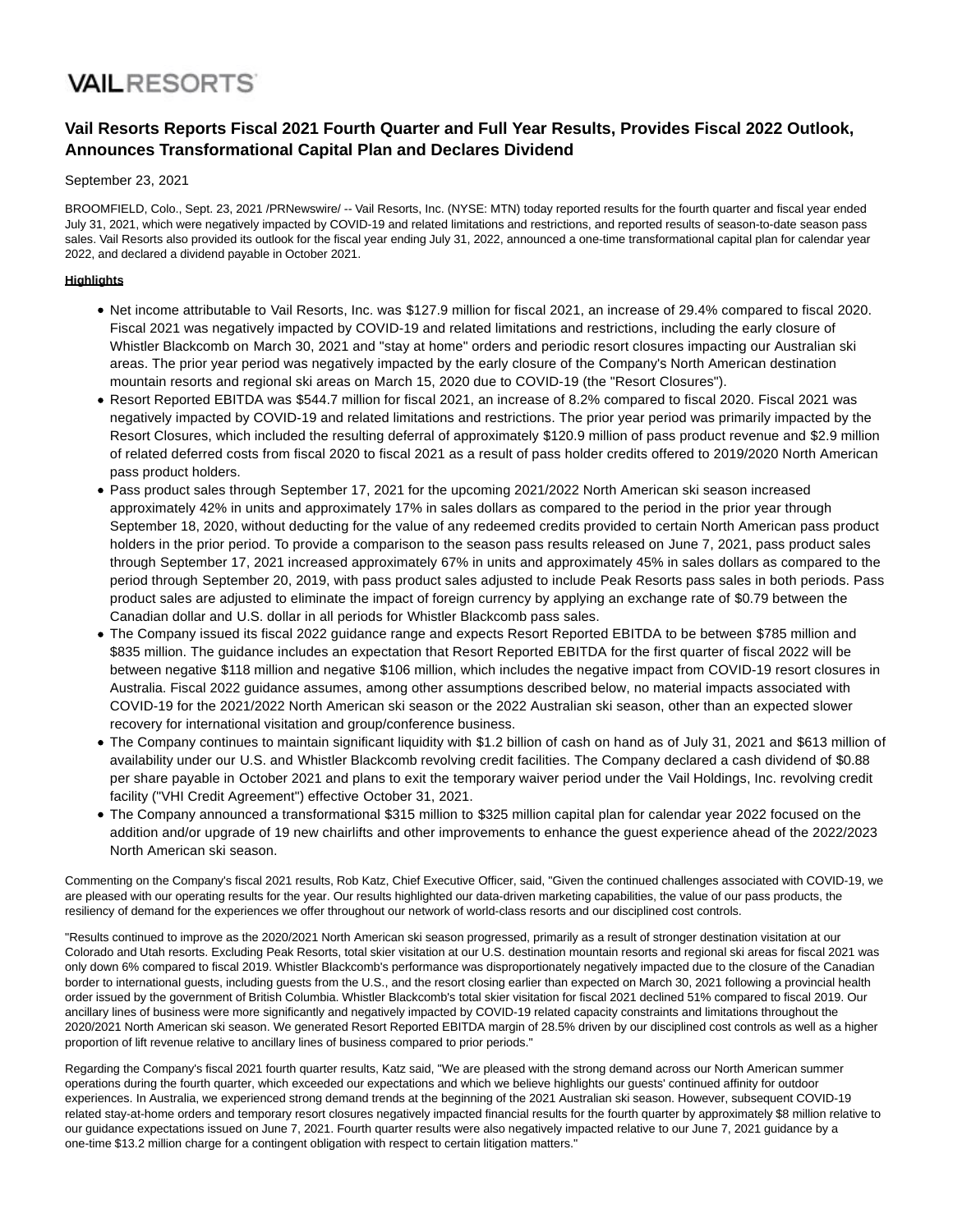# **VAILRESORTS**

## **Vail Resorts Reports Fiscal 2021 Fourth Quarter and Full Year Results, Provides Fiscal 2022 Outlook, Announces Transformational Capital Plan and Declares Dividend**

#### September 23, 2021

BROOMFIELD, Colo., Sept. 23, 2021 /PRNewswire/ -- Vail Resorts, Inc. (NYSE: MTN) today reported results for the fourth quarter and fiscal year ended July 31, 2021, which were negatively impacted by COVID-19 and related limitations and restrictions, and reported results of season-to-date season pass sales. Vail Resorts also provided its outlook for the fiscal year ending July 31, 2022, announced a one-time transformational capital plan for calendar year 2022, and declared a dividend payable in October 2021.

#### **Highlights**

- Net income attributable to Vail Resorts, Inc. was \$127.9 million for fiscal 2021, an increase of 29.4% compared to fiscal 2020. Fiscal 2021 was negatively impacted by COVID-19 and related limitations and restrictions, including the early closure of Whistler Blackcomb on March 30, 2021 and "stay at home" orders and periodic resort closures impacting our Australian ski areas. The prior year period was negatively impacted by the early closure of the Company's North American destination mountain resorts and regional ski areas on March 15, 2020 due to COVID-19 (the "Resort Closures").
- Resort Reported EBITDA was \$544.7 million for fiscal 2021, an increase of 8.2% compared to fiscal 2020. Fiscal 2021 was negatively impacted by COVID-19 and related limitations and restrictions. The prior year period was primarily impacted by the Resort Closures, which included the resulting deferral of approximately \$120.9 million of pass product revenue and \$2.9 million of related deferred costs from fiscal 2020 to fiscal 2021 as a result of pass holder credits offered to 2019/2020 North American pass product holders.
- Pass product sales through September 17, 2021 for the upcoming 2021/2022 North American ski season increased approximately 42% in units and approximately 17% in sales dollars as compared to the period in the prior year through September 18, 2020, without deducting for the value of any redeemed credits provided to certain North American pass product holders in the prior period. To provide a comparison to the season pass results released on June 7, 2021, pass product sales through September 17, 2021 increased approximately 67% in units and approximately 45% in sales dollars as compared to the period through September 20, 2019, with pass product sales adjusted to include Peak Resorts pass sales in both periods. Pass product sales are adjusted to eliminate the impact of foreign currency by applying an exchange rate of \$0.79 between the Canadian dollar and U.S. dollar in all periods for Whistler Blackcomb pass sales.
- The Company issued its fiscal 2022 guidance range and expects Resort Reported EBITDA to be between \$785 million and \$835 million. The guidance includes an expectation that Resort Reported EBITDA for the first quarter of fiscal 2022 will be between negative \$118 million and negative \$106 million, which includes the negative impact from COVID-19 resort closures in Australia. Fiscal 2022 guidance assumes, among other assumptions described below, no material impacts associated with COVID-19 for the 2021/2022 North American ski season or the 2022 Australian ski season, other than an expected slower recovery for international visitation and group/conference business.
- The Company continues to maintain significant liquidity with \$1.2 billion of cash on hand as of July 31, 2021 and \$613 million of availability under our U.S. and Whistler Blackcomb revolving credit facilities. The Company declared a cash dividend of \$0.88 per share payable in October 2021 and plans to exit the temporary waiver period under the Vail Holdings, Inc. revolving credit facility ("VHI Credit Agreement") effective October 31, 2021.
- The Company announced a transformational \$315 million to \$325 million capital plan for calendar year 2022 focused on the addition and/or upgrade of 19 new chairlifts and other improvements to enhance the guest experience ahead of the 2022/2023 North American ski season.

Commenting on the Company's fiscal 2021 results, Rob Katz, Chief Executive Officer, said, "Given the continued challenges associated with COVID-19, we are pleased with our operating results for the year. Our results highlighted our data-driven marketing capabilities, the value of our pass products, the resiliency of demand for the experiences we offer throughout our network of world-class resorts and our disciplined cost controls.

"Results continued to improve as the 2020/2021 North American ski season progressed, primarily as a result of stronger destination visitation at our Colorado and Utah resorts. Excluding Peak Resorts, total skier visitation at our U.S. destination mountain resorts and regional ski areas for fiscal 2021 was only down 6% compared to fiscal 2019. Whistler Blackcomb's performance was disproportionately negatively impacted due to the closure of the Canadian border to international guests, including guests from the U.S., and the resort closing earlier than expected on March 30, 2021 following a provincial health order issued by the government of British Columbia. Whistler Blackcomb's total skier visitation for fiscal 2021 declined 51% compared to fiscal 2019. Our ancillary lines of business were more significantly and negatively impacted by COVID-19 related capacity constraints and limitations throughout the 2020/2021 North American ski season. We generated Resort Reported EBITDA margin of 28.5% driven by our disciplined cost controls as well as a higher proportion of lift revenue relative to ancillary lines of business compared to prior periods."

Regarding the Company's fiscal 2021 fourth quarter results, Katz said, "We are pleased with the strong demand across our North American summer operations during the fourth quarter, which exceeded our expectations and which we believe highlights our guests' continued affinity for outdoor experiences. In Australia, we experienced strong demand trends at the beginning of the 2021 Australian ski season. However, subsequent COVID-19 related stay-at-home orders and temporary resort closures negatively impacted financial results for the fourth quarter by approximately \$8 million relative to our guidance expectations issued on June 7, 2021. Fourth quarter results were also negatively impacted relative to our June 7, 2021 guidance by a one-time \$13.2 million charge for a contingent obligation with respect to certain litigation matters."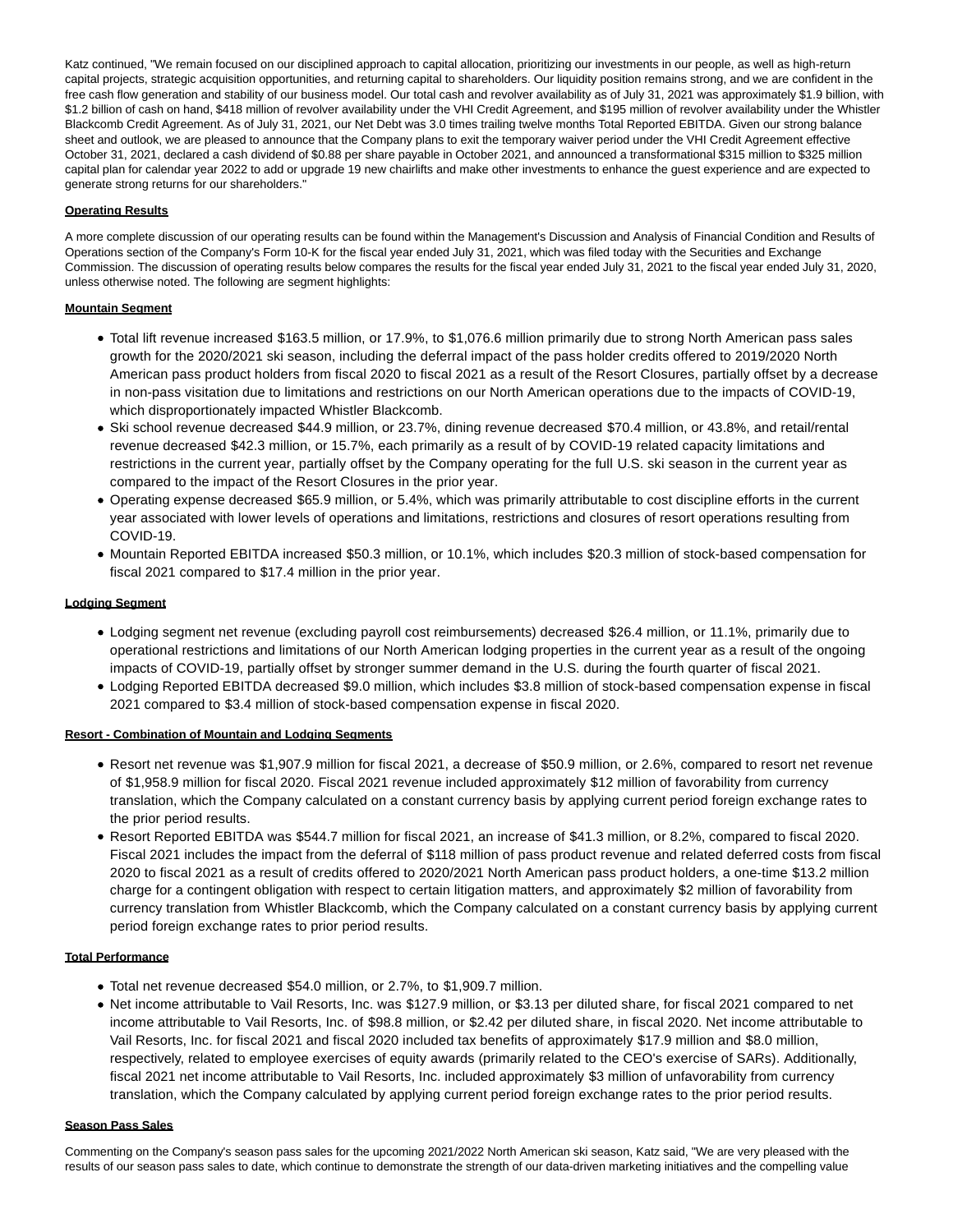Katz continued, "We remain focused on our disciplined approach to capital allocation, prioritizing our investments in our people, as well as high-return capital projects, strategic acquisition opportunities, and returning capital to shareholders. Our liquidity position remains strong, and we are confident in the free cash flow generation and stability of our business model. Our total cash and revolver availability as of July 31, 2021 was approximately \$1.9 billion, with \$1.2 billion of cash on hand, \$418 million of revolver availability under the VHI Credit Agreement, and \$195 million of revolver availability under the Whistler Blackcomb Credit Agreement. As of July 31, 2021, our Net Debt was 3.0 times trailing twelve months Total Reported EBITDA. Given our strong balance sheet and outlook, we are pleased to announce that the Company plans to exit the temporary waiver period under the VHI Credit Agreement effective October 31, 2021, declared a cash dividend of \$0.88 per share payable in October 2021, and announced a transformational \$315 million to \$325 million capital plan for calendar year 2022 to add or upgrade 19 new chairlifts and make other investments to enhance the guest experience and are expected to generate strong returns for our shareholders."

#### **Operating Results**

A more complete discussion of our operating results can be found within the Management's Discussion and Analysis of Financial Condition and Results of Operations section of the Company's Form 10-K for the fiscal year ended July 31, 2021, which was filed today with the Securities and Exchange Commission. The discussion of operating results below compares the results for the fiscal year ended July 31, 2021 to the fiscal year ended July 31, 2020, unless otherwise noted. The following are segment highlights:

#### **Mountain Segment**

- Total lift revenue increased \$163.5 million, or 17.9%, to \$1,076.6 million primarily due to strong North American pass sales growth for the 2020/2021 ski season, including the deferral impact of the pass holder credits offered to 2019/2020 North American pass product holders from fiscal 2020 to fiscal 2021 as a result of the Resort Closures, partially offset by a decrease in non-pass visitation due to limitations and restrictions on our North American operations due to the impacts of COVID-19, which disproportionately impacted Whistler Blackcomb.
- Ski school revenue decreased \$44.9 million, or 23.7%, dining revenue decreased \$70.4 million, or 43.8%, and retail/rental revenue decreased \$42.3 million, or 15.7%, each primarily as a result of by COVID-19 related capacity limitations and restrictions in the current year, partially offset by the Company operating for the full U.S. ski season in the current year as compared to the impact of the Resort Closures in the prior year.
- Operating expense decreased \$65.9 million, or 5.4%, which was primarily attributable to cost discipline efforts in the current year associated with lower levels of operations and limitations, restrictions and closures of resort operations resulting from COVID-19.
- Mountain Reported EBITDA increased \$50.3 million, or 10.1%, which includes \$20.3 million of stock-based compensation for fiscal 2021 compared to \$17.4 million in the prior year.

#### **Lodging Segment**

- Lodging segment net revenue (excluding payroll cost reimbursements) decreased \$26.4 million, or 11.1%, primarily due to operational restrictions and limitations of our North American lodging properties in the current year as a result of the ongoing impacts of COVID-19, partially offset by stronger summer demand in the U.S. during the fourth quarter of fiscal 2021.
- Lodging Reported EBITDA decreased \$9.0 million, which includes \$3.8 million of stock-based compensation expense in fiscal 2021 compared to \$3.4 million of stock-based compensation expense in fiscal 2020.

#### **Resort - Combination of Mountain and Lodging Segments**

- Resort net revenue was \$1,907.9 million for fiscal 2021, a decrease of \$50.9 million, or 2.6%, compared to resort net revenue of \$1,958.9 million for fiscal 2020. Fiscal 2021 revenue included approximately \$12 million of favorability from currency translation, which the Company calculated on a constant currency basis by applying current period foreign exchange rates to the prior period results.
- Resort Reported EBITDA was \$544.7 million for fiscal 2021, an increase of \$41.3 million, or 8.2%, compared to fiscal 2020. Fiscal 2021 includes the impact from the deferral of \$118 million of pass product revenue and related deferred costs from fiscal 2020 to fiscal 2021 as a result of credits offered to 2020/2021 North American pass product holders, a one-time \$13.2 million charge for a contingent obligation with respect to certain litigation matters, and approximately \$2 million of favorability from currency translation from Whistler Blackcomb, which the Company calculated on a constant currency basis by applying current period foreign exchange rates to prior period results.

#### **Total Performance**

- Total net revenue decreased \$54.0 million, or 2.7%, to \$1,909.7 million.
- Net income attributable to Vail Resorts, Inc. was \$127.9 million, or \$3.13 per diluted share, for fiscal 2021 compared to net income attributable to Vail Resorts, Inc. of \$98.8 million, or \$2.42 per diluted share, in fiscal 2020. Net income attributable to Vail Resorts, Inc. for fiscal 2021 and fiscal 2020 included tax benefits of approximately \$17.9 million and \$8.0 million, respectively, related to employee exercises of equity awards (primarily related to the CEO's exercise of SARs). Additionally, fiscal 2021 net income attributable to Vail Resorts, Inc. included approximately \$3 million of unfavorability from currency translation, which the Company calculated by applying current period foreign exchange rates to the prior period results.

#### **Season Pass Sales**

Commenting on the Company's season pass sales for the upcoming 2021/2022 North American ski season, Katz said, "We are very pleased with the results of our season pass sales to date, which continue to demonstrate the strength of our data-driven marketing initiatives and the compelling value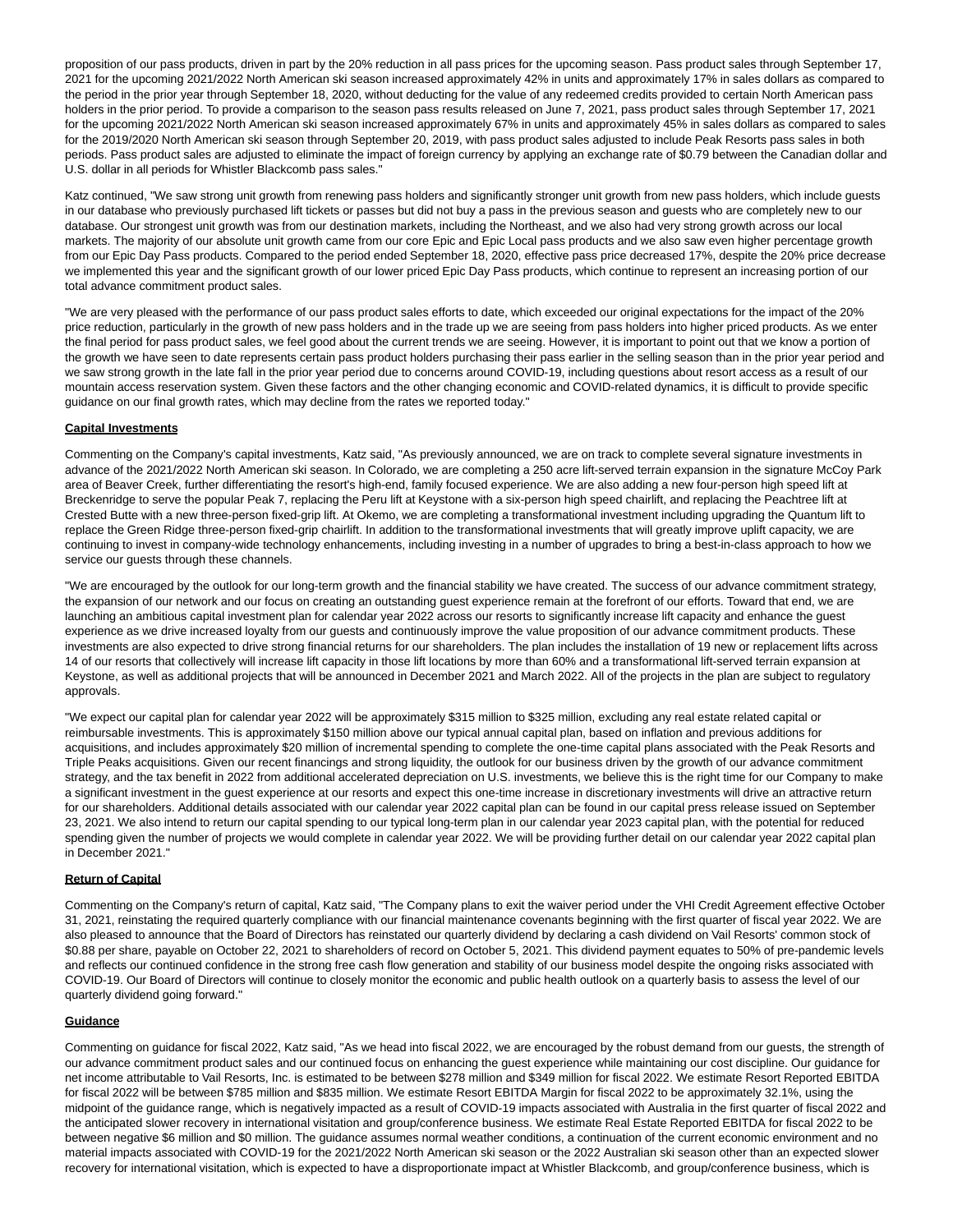proposition of our pass products, driven in part by the 20% reduction in all pass prices for the upcoming season. Pass product sales through September 17, 2021 for the upcoming 2021/2022 North American ski season increased approximately 42% in units and approximately 17% in sales dollars as compared to the period in the prior year through September 18, 2020, without deducting for the value of any redeemed credits provided to certain North American pass holders in the prior period. To provide a comparison to the season pass results released on June 7, 2021, pass product sales through September 17, 2021 for the upcoming 2021/2022 North American ski season increased approximately 67% in units and approximately 45% in sales dollars as compared to sales for the 2019/2020 North American ski season through September 20, 2019, with pass product sales adjusted to include Peak Resorts pass sales in both periods. Pass product sales are adjusted to eliminate the impact of foreign currency by applying an exchange rate of \$0.79 between the Canadian dollar and U.S. dollar in all periods for Whistler Blackcomb pass sales."

Katz continued, "We saw strong unit growth from renewing pass holders and significantly stronger unit growth from new pass holders, which include guests in our database who previously purchased lift tickets or passes but did not buy a pass in the previous season and guests who are completely new to our database. Our strongest unit growth was from our destination markets, including the Northeast, and we also had very strong growth across our local markets. The majority of our absolute unit growth came from our core Epic and Epic Local pass products and we also saw even higher percentage growth from our Epic Day Pass products. Compared to the period ended September 18, 2020, effective pass price decreased 17%, despite the 20% price decrease we implemented this year and the significant growth of our lower priced Epic Day Pass products, which continue to represent an increasing portion of our total advance commitment product sales.

"We are very pleased with the performance of our pass product sales efforts to date, which exceeded our original expectations for the impact of the 20% price reduction, particularly in the growth of new pass holders and in the trade up we are seeing from pass holders into higher priced products. As we enter the final period for pass product sales, we feel good about the current trends we are seeing. However, it is important to point out that we know a portion of the growth we have seen to date represents certain pass product holders purchasing their pass earlier in the selling season than in the prior year period and we saw strong growth in the late fall in the prior year period due to concerns around COVID-19, including questions about resort access as a result of our mountain access reservation system. Given these factors and the other changing economic and COVID-related dynamics, it is difficult to provide specific guidance on our final growth rates, which may decline from the rates we reported today."

#### **Capital Investments**

Commenting on the Company's capital investments, Katz said, "As previously announced, we are on track to complete several signature investments in advance of the 2021/2022 North American ski season. In Colorado, we are completing a 250 acre lift-served terrain expansion in the signature McCoy Park area of Beaver Creek, further differentiating the resort's high-end, family focused experience. We are also adding a new four-person high speed lift at Breckenridge to serve the popular Peak 7, replacing the Peru lift at Keystone with a six-person high speed chairlift, and replacing the Peachtree lift at Crested Butte with a new three-person fixed-grip lift. At Okemo, we are completing a transformational investment including upgrading the Quantum lift to replace the Green Ridge three-person fixed-grip chairlift. In addition to the transformational investments that will greatly improve uplift capacity, we are continuing to invest in company-wide technology enhancements, including investing in a number of upgrades to bring a best-in-class approach to how we service our guests through these channels.

"We are encouraged by the outlook for our long-term growth and the financial stability we have created. The success of our advance commitment strategy, the expansion of our network and our focus on creating an outstanding guest experience remain at the forefront of our efforts. Toward that end, we are launching an ambitious capital investment plan for calendar year 2022 across our resorts to significantly increase lift capacity and enhance the guest experience as we drive increased loyalty from our guests and continuously improve the value proposition of our advance commitment products. These investments are also expected to drive strong financial returns for our shareholders. The plan includes the installation of 19 new or replacement lifts across 14 of our resorts that collectively will increase lift capacity in those lift locations by more than 60% and a transformational lift-served terrain expansion at Keystone, as well as additional projects that will be announced in December 2021 and March 2022. All of the projects in the plan are subject to regulatory approvals.

"We expect our capital plan for calendar year 2022 will be approximately \$315 million to \$325 million, excluding any real estate related capital or reimbursable investments. This is approximately \$150 million above our typical annual capital plan, based on inflation and previous additions for acquisitions, and includes approximately \$20 million of incremental spending to complete the one-time capital plans associated with the Peak Resorts and Triple Peaks acquisitions. Given our recent financings and strong liquidity, the outlook for our business driven by the growth of our advance commitment strategy, and the tax benefit in 2022 from additional accelerated depreciation on U.S. investments, we believe this is the right time for our Company to make a significant investment in the guest experience at our resorts and expect this one-time increase in discretionary investments will drive an attractive return for our shareholders. Additional details associated with our calendar year 2022 capital plan can be found in our capital press release issued on September 23, 2021. We also intend to return our capital spending to our typical long-term plan in our calendar year 2023 capital plan, with the potential for reduced spending given the number of projects we would complete in calendar year 2022. We will be providing further detail on our calendar year 2022 capital plan in December 2021."

#### **Return of Capital**

Commenting on the Company's return of capital, Katz said, "The Company plans to exit the waiver period under the VHI Credit Agreement effective October 31, 2021, reinstating the required quarterly compliance with our financial maintenance covenants beginning with the first quarter of fiscal year 2022. We are also pleased to announce that the Board of Directors has reinstated our quarterly dividend by declaring a cash dividend on Vail Resorts' common stock of \$0.88 per share, payable on October 22, 2021 to shareholders of record on October 5, 2021. This dividend payment equates to 50% of pre-pandemic levels and reflects our continued confidence in the strong free cash flow generation and stability of our business model despite the ongoing risks associated with COVID-19. Our Board of Directors will continue to closely monitor the economic and public health outlook on a quarterly basis to assess the level of our quarterly dividend going forward."

#### **Guidance**

Commenting on guidance for fiscal 2022, Katz said, "As we head into fiscal 2022, we are encouraged by the robust demand from our guests, the strength of our advance commitment product sales and our continued focus on enhancing the guest experience while maintaining our cost discipline. Our guidance for net income attributable to Vail Resorts, Inc. is estimated to be between \$278 million and \$349 million for fiscal 2022. We estimate Resort Reported EBITDA for fiscal 2022 will be between \$785 million and \$835 million. We estimate Resort EBITDA Margin for fiscal 2022 to be approximately 32.1%, using the midpoint of the guidance range, which is negatively impacted as a result of COVID-19 impacts associated with Australia in the first quarter of fiscal 2022 and the anticipated slower recovery in international visitation and group/conference business. We estimate Real Estate Reported EBITDA for fiscal 2022 to be between negative \$6 million and \$0 million. The guidance assumes normal weather conditions, a continuation of the current economic environment and no material impacts associated with COVID-19 for the 2021/2022 North American ski season or the 2022 Australian ski season other than an expected slower recovery for international visitation, which is expected to have a disproportionate impact at Whistler Blackcomb, and group/conference business, which is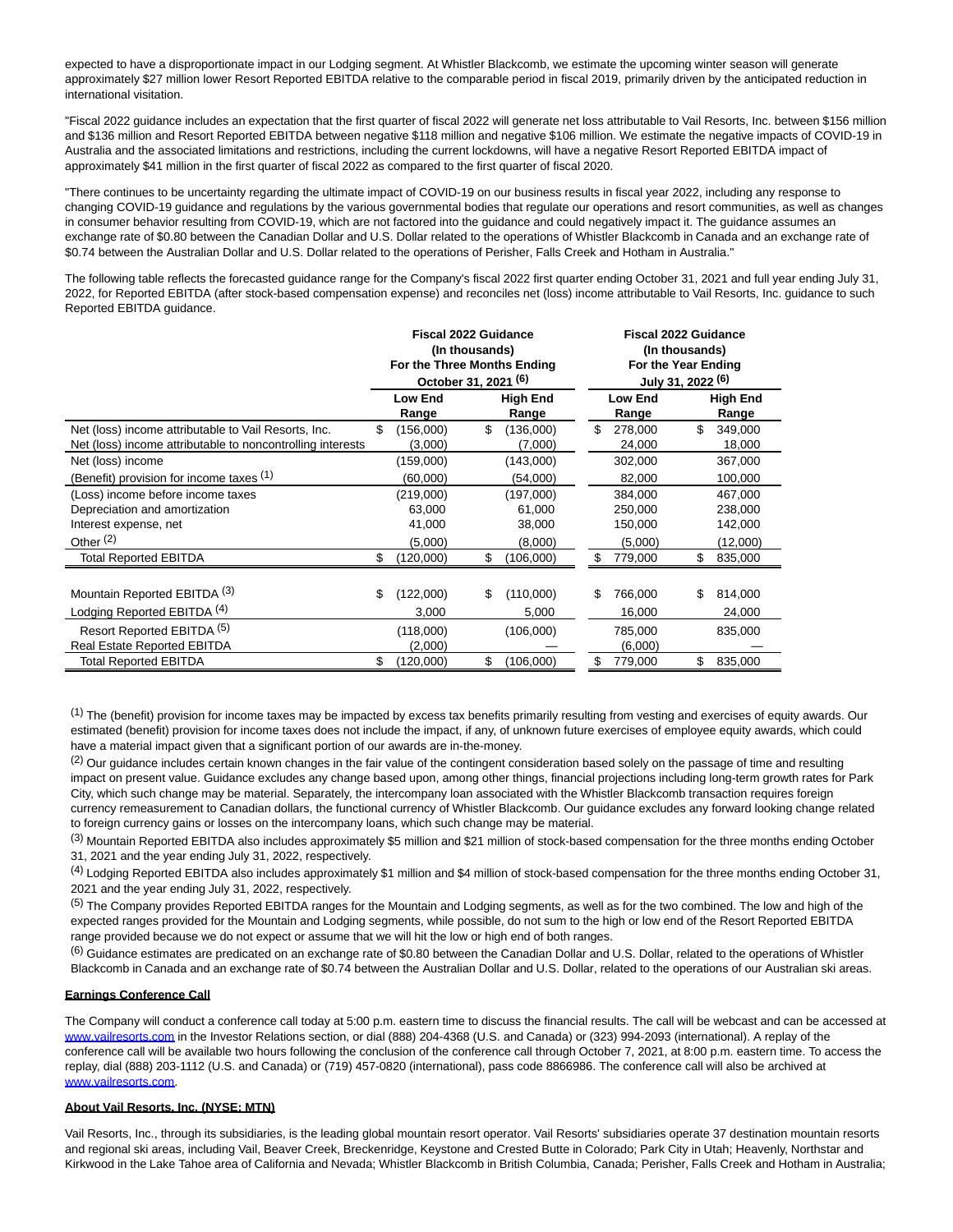expected to have a disproportionate impact in our Lodging segment. At Whistler Blackcomb, we estimate the upcoming winter season will generate approximately \$27 million lower Resort Reported EBITDA relative to the comparable period in fiscal 2019, primarily driven by the anticipated reduction in international visitation.

"Fiscal 2022 guidance includes an expectation that the first quarter of fiscal 2022 will generate net loss attributable to Vail Resorts, Inc. between \$156 million and \$136 million and Resort Reported EBITDA between negative \$118 million and negative \$106 million. We estimate the negative impacts of COVID-19 in Australia and the associated limitations and restrictions, including the current lockdowns, will have a negative Resort Reported EBITDA impact of approximately \$41 million in the first quarter of fiscal 2022 as compared to the first quarter of fiscal 2020.

"There continues to be uncertainty regarding the ultimate impact of COVID-19 on our business results in fiscal year 2022, including any response to changing COVID-19 guidance and regulations by the various governmental bodies that regulate our operations and resort communities, as well as changes in consumer behavior resulting from COVID-19, which are not factored into the guidance and could negatively impact it. The guidance assumes an exchange rate of \$0.80 between the Canadian Dollar and U.S. Dollar related to the operations of Whistler Blackcomb in Canada and an exchange rate of \$0.74 between the Australian Dollar and U.S. Dollar related to the operations of Perisher, Falls Creek and Hotham in Australia."

The following table reflects the forecasted guidance range for the Company's fiscal 2022 first quarter ending October 31, 2021 and full year ending July 31, 2022, for Reported EBITDA (after stock-based compensation expense) and reconciles net (loss) income attributable to Vail Resorts, Inc. guidance to such Reported EBITDA guidance.

|                                                            |     | <b>Fiscal 2022 Guidance</b> | (In thousands)                  |                          |    | <b>Fiscal 2022 Guidance</b><br>(In thousands) |                                                     |                          |  |  |  |
|------------------------------------------------------------|-----|-----------------------------|---------------------------------|--------------------------|----|-----------------------------------------------|-----------------------------------------------------|--------------------------|--|--|--|
|                                                            |     | For the Three Months Ending | October 31, 2021 <sup>(6)</sup> |                          |    |                                               | For the Year Ending<br>July 31, 2022 <sup>(6)</sup> |                          |  |  |  |
|                                                            |     | <b>Low End</b><br>Range     |                                 | <b>High End</b><br>Range |    | <b>Low End</b><br>Range                       |                                                     | <b>High End</b><br>Range |  |  |  |
| Net (loss) income attributable to Vail Resorts, Inc.       | \$  | (156,000)                   | \$                              | (136,000)                | \$ | 278,000                                       | \$                                                  | 349,000                  |  |  |  |
| Net (loss) income attributable to noncontrolling interests |     | (3,000)                     |                                 | (7,000)                  |    | 24,000                                        |                                                     | 18,000                   |  |  |  |
| Net (loss) income                                          |     | (159,000)                   |                                 | (143,000)                |    | 302,000                                       |                                                     | 367,000                  |  |  |  |
| (Benefit) provision for income taxes (1)                   |     | (60,000)                    |                                 | (54,000)                 |    | 82,000                                        |                                                     | 100,000                  |  |  |  |
| (Loss) income before income taxes                          |     | (219,000)                   |                                 | (197,000)                |    | 384.000                                       |                                                     | 467.000                  |  |  |  |
| Depreciation and amortization                              |     | 63,000                      |                                 | 61,000                   |    | 250,000                                       |                                                     | 238,000                  |  |  |  |
| Interest expense, net                                      |     | 41,000                      |                                 | 38,000                   |    | 150,000                                       |                                                     | 142,000                  |  |  |  |
| Other $(2)$                                                |     | (5,000)                     |                                 | (8,000)                  |    | (5,000)                                       |                                                     | (12,000)                 |  |  |  |
| <b>Total Reported EBITDA</b>                               | \$. | (120,000)                   | \$                              | (106,000)                | S  | 779,000                                       | \$                                                  | 835,000                  |  |  |  |
|                                                            |     |                             |                                 |                          |    |                                               |                                                     |                          |  |  |  |
| Mountain Reported EBITDA (3)                               | \$  | (122,000)                   | \$                              | (110,000)                | \$ | 766,000                                       | \$                                                  | 814,000                  |  |  |  |
| Lodging Reported EBITDA (4)                                |     | 3,000                       |                                 | 5,000                    |    | 16,000                                        |                                                     | 24,000                   |  |  |  |
| Resort Reported EBITDA (5)                                 |     | (118,000)                   |                                 | (106,000)                |    | 785,000                                       |                                                     | 835,000                  |  |  |  |
| <b>Real Estate Reported EBITDA</b>                         |     | (2,000)                     |                                 |                          |    | (6,000)                                       |                                                     |                          |  |  |  |
| <b>Total Reported EBITDA</b>                               | \$  | (120,000)                   | \$                              | (106,000)                | \$ | 779,000                                       | \$                                                  | 835,000                  |  |  |  |

 $<sup>(1)</sup>$  The (benefit) provision for income taxes may be impacted by excess tax benefits primarily resulting from vesting and exercises of equity awards. Our</sup> estimated (benefit) provision for income taxes does not include the impact, if any, of unknown future exercises of employee equity awards, which could have a material impact given that a significant portion of our awards are in-the-money.

 $(2)$  Our guidance includes certain known changes in the fair value of the contingent consideration based solely on the passage of time and resulting impact on present value. Guidance excludes any change based upon, among other things, financial projections including long-term growth rates for Park City, which such change may be material. Separately, the intercompany loan associated with the Whistler Blackcomb transaction requires foreign currency remeasurement to Canadian dollars, the functional currency of Whistler Blackcomb. Our guidance excludes any forward looking change related to foreign currency gains or losses on the intercompany loans, which such change may be material.

(3) Mountain Reported EBITDA also includes approximately \$5 million and \$21 million of stock-based compensation for the three months ending October 31, 2021 and the year ending July 31, 2022, respectively.

(4) Lodging Reported EBITDA also includes approximately \$1 million and \$4 million of stock-based compensation for the three months ending October 31, 2021 and the year ending July 31, 2022, respectively.

(5) The Company provides Reported EBITDA ranges for the Mountain and Lodging segments, as well as for the two combined. The low and high of the expected ranges provided for the Mountain and Lodging segments, while possible, do not sum to the high or low end of the Resort Reported EBITDA range provided because we do not expect or assume that we will hit the low or high end of both ranges.

 $^{(6)}$  Guidance estimates are predicated on an exchange rate of \$0.80 between the Canadian Dollar and U.S. Dollar, related to the operations of Whistler Blackcomb in Canada and an exchange rate of \$0.74 between the Australian Dollar and U.S. Dollar, related to the operations of our Australian ski areas.

#### **Earnings Conference Call**

The Company will conduct a conference call today at 5:00 p.m. eastern time to discuss the financial results. The call will be webcast and can be accessed at [www.vailresorts.com i](https://c212.net/c/link/?t=0&l=en&o=3301290-1&h=3397329319&u=http%3A%2F%2Fwww.vailresorts.com%2F&a=www.vailresorts.com)n the Investor Relations section, or dial (888) 204-4368 (U.S. and Canada) or (323) 994-2093 (international). A replay of the conference call will be available two hours following the conclusion of the conference call through October 7, 2021, at 8:00 p.m. eastern time. To access the replay, dial (888) 203-1112 (U.S. and Canada) or (719) 457-0820 (international), pass code 8866986. The conference call will also be archived at [www.vailresorts.com.](https://c212.net/c/link/?t=0&l=en&o=3301290-1&h=3397329319&u=http%3A%2F%2Fwww.vailresorts.com%2F&a=www.vailresorts.com)

#### **About Vail Resorts, Inc. (NYSE: MTN)**

Vail Resorts, Inc., through its subsidiaries, is the leading global mountain resort operator. Vail Resorts' subsidiaries operate 37 destination mountain resorts and regional ski areas, including Vail, Beaver Creek, Breckenridge, Keystone and Crested Butte in Colorado; Park City in Utah; Heavenly, Northstar and Kirkwood in the Lake Tahoe area of California and Nevada; Whistler Blackcomb in British Columbia, Canada; Perisher, Falls Creek and Hotham in Australia;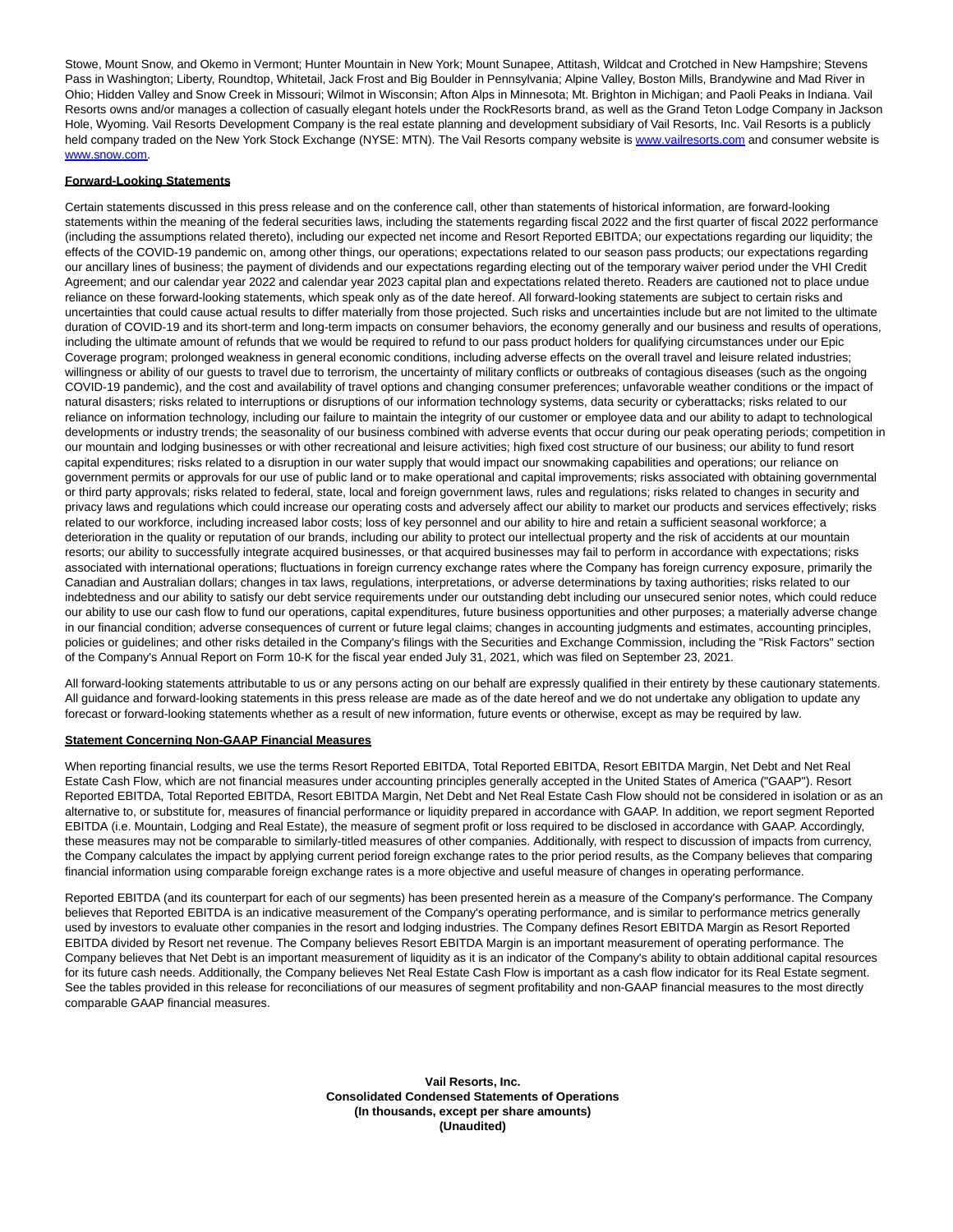Stowe, Mount Snow, and Okemo in Vermont; Hunter Mountain in New York; Mount Sunapee, Attitash, Wildcat and Crotched in New Hampshire; Stevens Pass in Washington; Liberty, Roundtop, Whitetail, Jack Frost and Big Boulder in Pennsylvania; Alpine Valley, Boston Mills, Brandywine and Mad River in Ohio; Hidden Valley and Snow Creek in Missouri; Wilmot in Wisconsin; Afton Alps in Minnesota; Mt. Brighton in Michigan; and Paoli Peaks in Indiana. Vail Resorts owns and/or manages a collection of casually elegant hotels under the RockResorts brand, as well as the Grand Teton Lodge Company in Jackson Hole, Wyoming. Vail Resorts Development Company is the real estate planning and development subsidiary of Vail Resorts, Inc. Vail Resorts is a publicly held company traded on the New York Stock Exchange (NYSE: MTN). The Vail Resorts company website is [www.vailresorts.com a](https://c212.net/c/link/?t=0&l=en&o=3301290-1&h=3397329319&u=http%3A%2F%2Fwww.vailresorts.com%2F&a=www.vailresorts.com)nd consumer website is [www.snow.com.](https://c212.net/c/link/?t=0&l=en&o=3301290-1&h=3977725384&u=http%3A%2F%2Fwww.snow.com%2F&a=www.snow.com)

#### **Forward-Looking Statements**

Certain statements discussed in this press release and on the conference call, other than statements of historical information, are forward-looking statements within the meaning of the federal securities laws, including the statements regarding fiscal 2022 and the first quarter of fiscal 2022 performance (including the assumptions related thereto), including our expected net income and Resort Reported EBITDA; our expectations regarding our liquidity; the effects of the COVID-19 pandemic on, among other things, our operations; expectations related to our season pass products; our expectations regarding our ancillary lines of business; the payment of dividends and our expectations regarding electing out of the temporary waiver period under the VHI Credit Agreement; and our calendar year 2022 and calendar year 2023 capital plan and expectations related thereto. Readers are cautioned not to place undue reliance on these forward-looking statements, which speak only as of the date hereof. All forward-looking statements are subject to certain risks and uncertainties that could cause actual results to differ materially from those projected. Such risks and uncertainties include but are not limited to the ultimate duration of COVID-19 and its short-term and long-term impacts on consumer behaviors, the economy generally and our business and results of operations, including the ultimate amount of refunds that we would be required to refund to our pass product holders for qualifying circumstances under our Epic Coverage program; prolonged weakness in general economic conditions, including adverse effects on the overall travel and leisure related industries; willingness or ability of our guests to travel due to terrorism, the uncertainty of military conflicts or outbreaks of contagious diseases (such as the ongoing COVID-19 pandemic), and the cost and availability of travel options and changing consumer preferences; unfavorable weather conditions or the impact of natural disasters; risks related to interruptions or disruptions of our information technology systems, data security or cyberattacks; risks related to our reliance on information technology, including our failure to maintain the integrity of our customer or employee data and our ability to adapt to technological developments or industry trends; the seasonality of our business combined with adverse events that occur during our peak operating periods; competition in our mountain and lodging businesses or with other recreational and leisure activities; high fixed cost structure of our business; our ability to fund resort capital expenditures; risks related to a disruption in our water supply that would impact our snowmaking capabilities and operations; our reliance on government permits or approvals for our use of public land or to make operational and capital improvements; risks associated with obtaining governmental or third party approvals; risks related to federal, state, local and foreign government laws, rules and regulations; risks related to changes in security and privacy laws and regulations which could increase our operating costs and adversely affect our ability to market our products and services effectively; risks related to our workforce, including increased labor costs; loss of key personnel and our ability to hire and retain a sufficient seasonal workforce; a deterioration in the quality or reputation of our brands, including our ability to protect our intellectual property and the risk of accidents at our mountain resorts; our ability to successfully integrate acquired businesses, or that acquired businesses may fail to perform in accordance with expectations; risks associated with international operations; fluctuations in foreign currency exchange rates where the Company has foreign currency exposure, primarily the Canadian and Australian dollars; changes in tax laws, regulations, interpretations, or adverse determinations by taxing authorities; risks related to our indebtedness and our ability to satisfy our debt service requirements under our outstanding debt including our unsecured senior notes, which could reduce our ability to use our cash flow to fund our operations, capital expenditures, future business opportunities and other purposes; a materially adverse change in our financial condition; adverse consequences of current or future legal claims; changes in accounting judgments and estimates, accounting principles, policies or guidelines; and other risks detailed in the Company's filings with the Securities and Exchange Commission, including the "Risk Factors" section of the Company's Annual Report on Form 10-K for the fiscal year ended July 31, 2021, which was filed on September 23, 2021.

All forward-looking statements attributable to us or any persons acting on our behalf are expressly qualified in their entirety by these cautionary statements. All guidance and forward-looking statements in this press release are made as of the date hereof and we do not undertake any obligation to update any forecast or forward-looking statements whether as a result of new information, future events or otherwise, except as may be required by law.

#### **Statement Concerning Non-GAAP Financial Measures**

When reporting financial results, we use the terms Resort Reported EBITDA, Total Reported EBITDA, Resort EBITDA Margin, Net Debt and Net Real Estate Cash Flow, which are not financial measures under accounting principles generally accepted in the United States of America ("GAAP"). Resort Reported EBITDA, Total Reported EBITDA, Resort EBITDA Margin, Net Debt and Net Real Estate Cash Flow should not be considered in isolation or as an alternative to, or substitute for, measures of financial performance or liquidity prepared in accordance with GAAP. In addition, we report segment Reported EBITDA (i.e. Mountain, Lodging and Real Estate), the measure of segment profit or loss required to be disclosed in accordance with GAAP. Accordingly, these measures may not be comparable to similarly-titled measures of other companies. Additionally, with respect to discussion of impacts from currency, the Company calculates the impact by applying current period foreign exchange rates to the prior period results, as the Company believes that comparing financial information using comparable foreign exchange rates is a more objective and useful measure of changes in operating performance.

Reported EBITDA (and its counterpart for each of our segments) has been presented herein as a measure of the Company's performance. The Company believes that Reported EBITDA is an indicative measurement of the Company's operating performance, and is similar to performance metrics generally used by investors to evaluate other companies in the resort and lodging industries. The Company defines Resort EBITDA Margin as Resort Reported EBITDA divided by Resort net revenue. The Company believes Resort EBITDA Margin is an important measurement of operating performance. The Company believes that Net Debt is an important measurement of liquidity as it is an indicator of the Company's ability to obtain additional capital resources for its future cash needs. Additionally, the Company believes Net Real Estate Cash Flow is important as a cash flow indicator for its Real Estate segment. See the tables provided in this release for reconciliations of our measures of segment profitability and non-GAAP financial measures to the most directly comparable GAAP financial measures.

> **Vail Resorts, Inc. Consolidated Condensed Statements of Operations (In thousands, except per share amounts) (Unaudited)**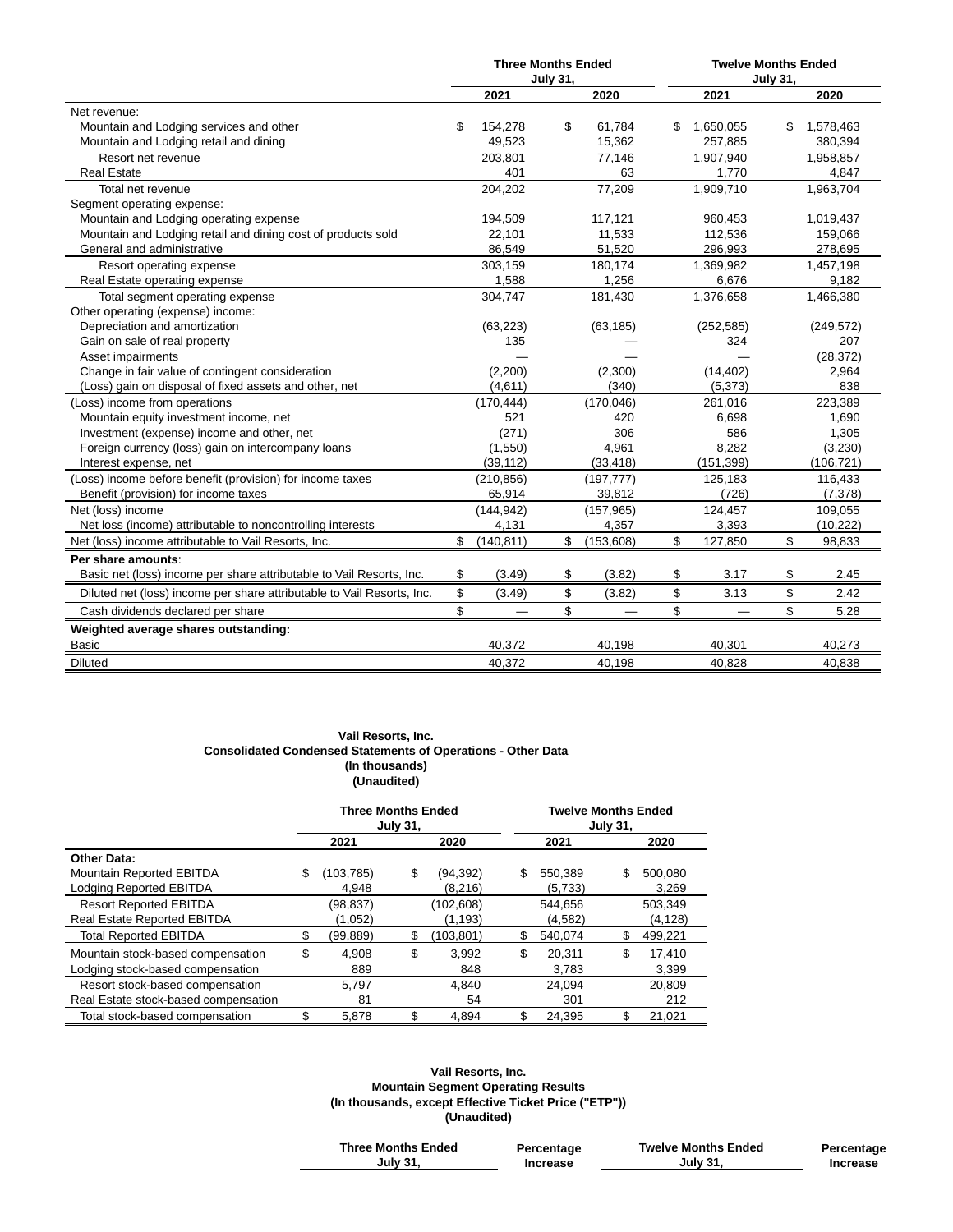|                                                                        | <b>Three Months Ended</b> |                 |            | <b>Twelve Months Ended</b> |            |                 |            |  |  |
|------------------------------------------------------------------------|---------------------------|-----------------|------------|----------------------------|------------|-----------------|------------|--|--|
|                                                                        |                           | <b>July 31,</b> |            |                            |            | <b>July 31.</b> |            |  |  |
|                                                                        | 2021                      |                 | 2020       |                            | 2021       |                 | 2020       |  |  |
| Net revenue:                                                           |                           |                 |            |                            |            |                 |            |  |  |
| Mountain and Lodging services and other                                | \$<br>154,278             | \$              | 61.784     | S                          | 1.650.055  | \$              | 1,578,463  |  |  |
| Mountain and Lodging retail and dining                                 | 49,523                    |                 | 15,362     |                            | 257,885    |                 | 380,394    |  |  |
| Resort net revenue                                                     | 203,801                   |                 | 77,146     |                            | 1,907,940  |                 | 1,958,857  |  |  |
| <b>Real Estate</b>                                                     | 401                       |                 | 63         |                            | 1,770      |                 | 4,847      |  |  |
| Total net revenue                                                      | 204,202                   |                 | 77,209     |                            | 1,909,710  |                 | 1,963,704  |  |  |
| Segment operating expense:                                             |                           |                 |            |                            |            |                 |            |  |  |
| Mountain and Lodging operating expense                                 | 194,509                   |                 | 117,121    |                            | 960.453    |                 | 1,019,437  |  |  |
| Mountain and Lodging retail and dining cost of products sold           | 22,101                    |                 | 11,533     |                            | 112,536    |                 | 159,066    |  |  |
| General and administrative                                             | 86,549                    |                 | 51,520     |                            | 296,993    |                 | 278,695    |  |  |
| Resort operating expense                                               | 303,159                   |                 | 180,174    |                            | 1,369,982  |                 | 1,457,198  |  |  |
| Real Estate operating expense                                          | 1,588                     |                 | 1,256      |                            | 6,676      |                 | 9,182      |  |  |
| Total segment operating expense                                        | 304,747                   |                 | 181,430    |                            | 1,376,658  |                 | 1,466,380  |  |  |
| Other operating (expense) income:                                      |                           |                 |            |                            |            |                 |            |  |  |
| Depreciation and amortization                                          | (63, 223)                 |                 | (63, 185)  |                            | (252, 585) |                 | (249, 572) |  |  |
| Gain on sale of real property                                          | 135                       |                 |            |                            | 324        |                 | 207        |  |  |
| Asset impairments                                                      |                           |                 |            |                            |            |                 | (28, 372)  |  |  |
| Change in fair value of contingent consideration                       | (2,200)                   |                 | (2,300)    |                            | (14, 402)  |                 | 2,964      |  |  |
| (Loss) gain on disposal of fixed assets and other, net                 | (4,611)                   |                 | (340)      |                            | (5, 373)   |                 | 838        |  |  |
| (Loss) income from operations                                          | (170, 444)                |                 | (170, 046) |                            | 261,016    |                 | 223,389    |  |  |
| Mountain equity investment income, net                                 | 521                       |                 | 420        |                            | 6,698      |                 | 1,690      |  |  |
| Investment (expense) income and other, net                             | (271)                     |                 | 306        |                            | 586        |                 | 1,305      |  |  |
| Foreign currency (loss) gain on intercompany loans                     | (1,550)                   |                 | 4,961      |                            | 8,282      |                 | (3,230)    |  |  |
| Interest expense, net                                                  | (39, 112)                 |                 | (33, 418)  |                            | (151, 399) |                 | (106, 721) |  |  |
| (Loss) income before benefit (provision) for income taxes              | (210, 856)                |                 | (197, 777) |                            | 125,183    |                 | 116,433    |  |  |
| Benefit (provision) for income taxes                                   | 65,914                    |                 | 39,812     |                            | (726)      |                 | (7, 378)   |  |  |
| Net (loss) income                                                      | (144, 942)                |                 | (157, 965) |                            | 124,457    |                 | 109,055    |  |  |
| Net loss (income) attributable to noncontrolling interests             | 4,131                     |                 | 4,357      |                            | 3,393      |                 | (10, 222)  |  |  |
| Net (loss) income attributable to Vail Resorts, Inc.                   | \$<br>(140, 811)          | \$              | (153, 608) | \$                         | 127,850    | \$              | 98,833     |  |  |
| Per share amounts:                                                     |                           |                 |            |                            |            |                 |            |  |  |
| Basic net (loss) income per share attributable to Vail Resorts, Inc.   | \$<br>(3.49)              | \$              | (3.82)     | \$                         | 3.17       | \$              | 2.45       |  |  |
| Diluted net (loss) income per share attributable to Vail Resorts, Inc. | \$<br>(3.49)              | \$              | (3.82)     | \$                         | 3.13       | \$              | 2.42       |  |  |
| Cash dividends declared per share                                      | \$                        | \$              |            | \$                         |            | \$              | 5.28       |  |  |
| Weighted average shares outstanding:                                   |                           |                 |            |                            |            |                 |            |  |  |
| <b>Basic</b>                                                           | 40,372                    |                 | 40,198     |                            | 40,301     |                 | 40,273     |  |  |
| <b>Diluted</b>                                                         | 40,372                    |                 | 40.198     |                            | 40.828     |                 | 40,838     |  |  |

#### **Vail Resorts, Inc. Consolidated Condensed Statements of Operations - Other Data (In thousands) (Unaudited)**

|                                      | <b>Three Months Ended</b> | <b>July 31,</b> |            | <b>Twelve Months Ended</b><br><b>July 31,</b> |         |    |          |  |
|--------------------------------------|---------------------------|-----------------|------------|-----------------------------------------------|---------|----|----------|--|
|                                      | 2021                      |                 | 2020       |                                               | 2021    |    | 2020     |  |
| Other Data:                          |                           |                 |            |                                               |         |    |          |  |
| Mountain Reported EBITDA             | \$<br>(103, 785)          | \$              | (94,392)   | \$                                            | 550.389 | \$ | 500.080  |  |
| Lodging Reported EBITDA              | 4.948                     |                 | (8,216)    |                                               | (5,733) |    | 3,269    |  |
| <b>Resort Reported EBITDA</b>        | (98, 837)                 |                 | (102, 608) |                                               | 544,656 |    | 503,349  |  |
| <b>Real Estate Reported EBITDA</b>   | (1,052)                   |                 | (1.193)    |                                               | (4,582) |    | (4, 128) |  |
| <b>Total Reported EBITDA</b>         | (99, 889)                 | \$              | (103,801)  | \$                                            | 540.074 | \$ | 499,221  |  |
| Mountain stock-based compensation    | \$<br>4.908               | \$              | 3.992      | \$                                            | 20.311  | \$ | 17.410   |  |
| Lodging stock-based compensation     | 889                       |                 | 848        |                                               | 3.783   |    | 3.399    |  |
| Resort stock-based compensation      | 5.797                     |                 | 4.840      |                                               | 24.094  |    | 20.809   |  |
| Real Estate stock-based compensation | 81                        |                 | 54         |                                               | 301     |    | 212      |  |
| Total stock-based compensation       | \$<br>5.878               |                 | 4.894      |                                               | 24.395  |    | 21.021   |  |

#### **Vail Resorts, Inc. Mountain Segment Operating Results (In thousands, except Effective Ticket Price ("ETP")) (Unaudited)**

| <b>Three Months Ended</b> | Percentage | <b>Twelve Months Ended</b> | Percentage |
|---------------------------|------------|----------------------------|------------|
| Julv 31.                  | Increase   | <b>July 31.</b>            | Increase   |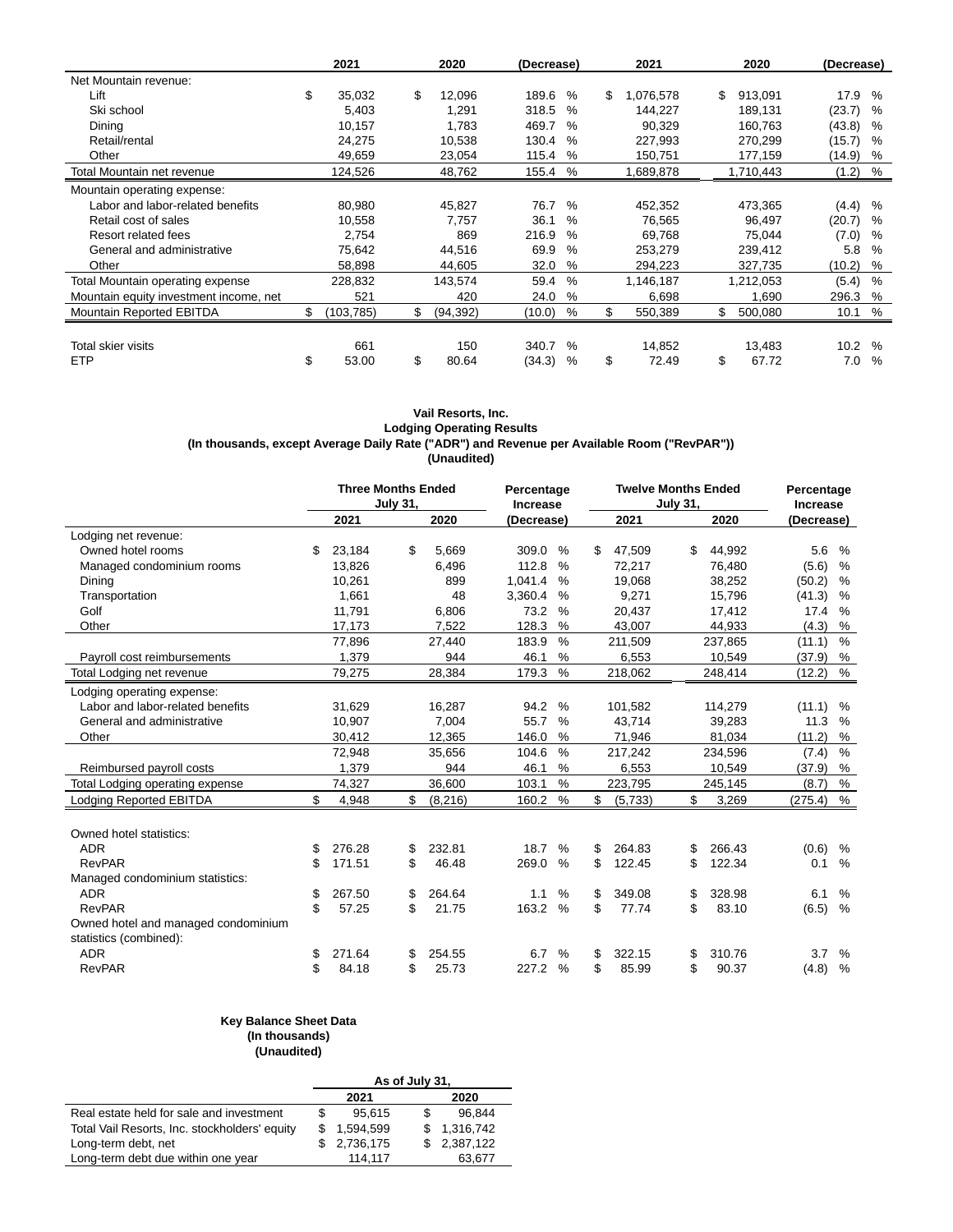|                                        | 2021             | 2020            |        | 2021<br>(Decrease) |    |           | 2020 |           | (Decrease) |               |
|----------------------------------------|------------------|-----------------|--------|--------------------|----|-----------|------|-----------|------------|---------------|
| Net Mountain revenue:                  |                  |                 |        |                    |    |           |      |           |            |               |
| Lift                                   | \$<br>35,032     | \$<br>12,096    | 189.6  | $\%$               | \$ | 1,076,578 | \$   | 913,091   | 17.9       | $\%$          |
| Ski school                             | 5.403            | 1,291           | 318.5  | $\%$               |    | 144,227   |      | 189,131   | (23.7)     | %             |
| Dining                                 | 10,157           | 1,783           | 469.7  | $\%$               |    | 90,329    |      | 160,763   | (43.8)     | %             |
| Retail/rental                          | 24,275           | 10,538          | 130.4  | %                  |    | 227,993   |      | 270,299   | (15.7)     | %             |
| Other                                  | 49,659           | 23,054          | 115.4  | %                  |    | 150,751   |      | 177,159   | (14.9)     | %             |
| Total Mountain net revenue             | 124,526          | 48,762          | 155.4  | %                  |    | 1,689,878 |      | 1,710,443 | $(1.2)$ %  |               |
| Mountain operating expense:            |                  |                 |        |                    |    |           |      |           |            |               |
| Labor and labor-related benefits       | 80,980           | 45,827          | 76.7   | $\%$               |    | 452,352   |      | 473,365   | (4.4)      | %             |
| Retail cost of sales                   | 10,558           | 7,757           | 36.1   | $\%$               |    | 76,565    |      | 96,497    | (20.7)     | $\%$          |
| Resort related fees                    | 2,754            | 869             | 216.9  | $\%$               |    | 69,768    |      | 75,044    | (7.0)      | $\%$          |
| General and administrative             | 75,642           | 44,516          | 69.9   | $\%$               |    | 253,279   |      | 239,412   | 5.8        | $\frac{0}{0}$ |
| Other                                  | 58,898           | 44,605          | 32.0   | %                  |    | 294,223   |      | 327,735   | (10.2)     | %             |
| Total Mountain operating expense       | 228,832          | 143,574         | 59.4   | $\%$               |    | 1,146,187 |      | 1,212,053 | (5.4)      | $\frac{0}{0}$ |
| Mountain equity investment income, net | 521              | 420             | 24.0   | %                  |    | 6,698     |      | 1,690     | 296.3      | %             |
| Mountain Reported EBITDA               | \$<br>(103, 785) | \$<br>(94, 392) | (10.0) | %                  | \$ | 550,389   | \$   | 500,080   | 10.1       | %             |
|                                        |                  |                 |        |                    |    |           |      |           |            |               |
| Total skier visits                     | 661              | 150             | 340.7  | $\%$               |    | 14,852    |      | 13,483    | 10.2       | $\%$          |
| <b>ETP</b>                             | \$<br>53.00      | \$<br>80.64     | (34.3) | $\%$               | \$ | 72.49     | \$   | 67.72     | 7.0        | $\frac{0}{0}$ |

#### **Vail Resorts, Inc. Lodging Operating Results (In thousands, except Average Daily Rate ("ADR") and Revenue per Available Room ("RevPAR")) (Unaudited)**

| 2021<br>2020<br>2021<br>2020<br>(Decrease)<br>(Decrease)<br>Lodging net revenue:<br>Owned hotel rooms<br>23,184<br>\$.<br>5,669<br>$\frac{0}{0}$<br>44,992<br>5.6<br>%<br>\$<br>309.0<br>\$<br>47,509<br>\$<br>13,826<br>112.8<br>$\%$<br>72,217<br>(5.6)<br>%<br>Managed condominium rooms<br>6,496<br>76,480<br>1,041.4<br>19,068<br>10,261<br>899<br>$\frac{0}{0}$<br>38,252<br>(50.2)<br>%<br>Dining<br>1,661<br>48<br>3,360.4<br>9,271<br>Transportation<br>%<br>15,796<br>(41.3)<br>%<br>73.2<br>Golf<br>11,791<br>6,806<br>%<br>20,437<br>17.4<br>$\frac{0}{0}$<br>17,412<br>%<br>Other<br>17,173<br>7,522<br>128.3<br>(4.3)<br>%<br>43,007<br>44,933<br>$\frac{0}{0}$<br>183.9<br>$\frac{0}{0}$<br>77,896<br>27,440<br>211,509<br>237,865<br>(11.1)<br>1,379<br>944<br>46.1<br>%<br>6,553<br>10,549<br>(37.9)<br>%<br>Payroll cost reimbursements<br>$\%$<br>$\frac{0}{0}$<br>79,275<br>28,384<br>179.3<br>218,062<br>248,414<br>(12.2)<br>Total Lodging net revenue<br>Lodging operating expense:<br>Labor and labor-related benefits<br>$\%$<br>31.629<br>16.287<br>94.2<br>101,582<br>114,279<br>(11.1)<br>%<br>General and administrative<br>10,907<br>7.004<br>55.7<br>$\frac{0}{0}$<br>43,714<br>39,283<br>11.3<br>%<br>Other<br>30,412<br>12,365<br>146.0<br>$\%$<br>71,946<br>81,034<br>(11.2)<br>%<br>$\frac{0}{0}$<br>35,656<br>104.6<br>$\frac{0}{0}$<br>72,948<br>217,242<br>234,596<br>(7.4)<br>1,379<br>46.1<br>Reimbursed payroll costs<br>944<br>%<br>6,553<br>10,549<br>(37.9)<br>%<br>$\%$<br>$\%$<br>74,327<br>36,600<br>103.1<br>223,795<br>Total Lodging operating expense<br>245,145<br>(8.7)<br>\$<br>$\%$<br><b>Lodging Reported EBITDA</b><br>160.2<br>%<br>\$<br>\$<br>4,948<br>\$<br>(8, 216)<br>(5,733)<br>3,269<br>(275.4)<br>Owned hotel statistics:<br><b>ADR</b><br>\$<br>276.28<br>232.81<br>18.7<br>264.83<br>266.43<br>(0.6)<br>\$<br>$\frac{0}{0}$<br>\$<br>\$<br>%<br><b>RevPAR</b><br>\$<br>\$<br>46.48<br>$\%$<br>\$<br>\$<br>122.34<br>171.51<br>269.0<br>122.45<br>%<br>0.1<br>Managed condominium statistics:<br><b>ADR</b><br>\$<br>267.50<br>264.64<br>$\frac{0}{0}$<br>\$<br>349.08<br>328.98<br>%<br>\$<br>1.1<br>\$<br>6.1<br>\$<br>\$<br><b>RevPAR</b><br>\$<br>\$<br>163.2<br>$\frac{0}{0}$<br>83.10<br>(6.5)<br>$\frac{0}{0}$<br>57.25<br>21.75<br>77.74 |  | <b>Three Months Ended</b> | <b>July 31,</b> | Percentage<br>Increase |  | <b>Twelve Months Ended</b><br><b>July 31,</b> | Percentage<br>Increase |  |  |
|--------------------------------------------------------------------------------------------------------------------------------------------------------------------------------------------------------------------------------------------------------------------------------------------------------------------------------------------------------------------------------------------------------------------------------------------------------------------------------------------------------------------------------------------------------------------------------------------------------------------------------------------------------------------------------------------------------------------------------------------------------------------------------------------------------------------------------------------------------------------------------------------------------------------------------------------------------------------------------------------------------------------------------------------------------------------------------------------------------------------------------------------------------------------------------------------------------------------------------------------------------------------------------------------------------------------------------------------------------------------------------------------------------------------------------------------------------------------------------------------------------------------------------------------------------------------------------------------------------------------------------------------------------------------------------------------------------------------------------------------------------------------------------------------------------------------------------------------------------------------------------------------------------------------------------------------------------------------------------------------------------------------------------------------------------------------------------------------------------------------------------------------------------------------------------------------------------------------------------------------------------------------------------------------------------------------|--|---------------------------|-----------------|------------------------|--|-----------------------------------------------|------------------------|--|--|
|                                                                                                                                                                                                                                                                                                                                                                                                                                                                                                                                                                                                                                                                                                                                                                                                                                                                                                                                                                                                                                                                                                                                                                                                                                                                                                                                                                                                                                                                                                                                                                                                                                                                                                                                                                                                                                                                                                                                                                                                                                                                                                                                                                                                                                                                                                                    |  |                           |                 |                        |  |                                               |                        |  |  |
|                                                                                                                                                                                                                                                                                                                                                                                                                                                                                                                                                                                                                                                                                                                                                                                                                                                                                                                                                                                                                                                                                                                                                                                                                                                                                                                                                                                                                                                                                                                                                                                                                                                                                                                                                                                                                                                                                                                                                                                                                                                                                                                                                                                                                                                                                                                    |  |                           |                 |                        |  |                                               |                        |  |  |
|                                                                                                                                                                                                                                                                                                                                                                                                                                                                                                                                                                                                                                                                                                                                                                                                                                                                                                                                                                                                                                                                                                                                                                                                                                                                                                                                                                                                                                                                                                                                                                                                                                                                                                                                                                                                                                                                                                                                                                                                                                                                                                                                                                                                                                                                                                                    |  |                           |                 |                        |  |                                               |                        |  |  |
|                                                                                                                                                                                                                                                                                                                                                                                                                                                                                                                                                                                                                                                                                                                                                                                                                                                                                                                                                                                                                                                                                                                                                                                                                                                                                                                                                                                                                                                                                                                                                                                                                                                                                                                                                                                                                                                                                                                                                                                                                                                                                                                                                                                                                                                                                                                    |  |                           |                 |                        |  |                                               |                        |  |  |
|                                                                                                                                                                                                                                                                                                                                                                                                                                                                                                                                                                                                                                                                                                                                                                                                                                                                                                                                                                                                                                                                                                                                                                                                                                                                                                                                                                                                                                                                                                                                                                                                                                                                                                                                                                                                                                                                                                                                                                                                                                                                                                                                                                                                                                                                                                                    |  |                           |                 |                        |  |                                               |                        |  |  |
|                                                                                                                                                                                                                                                                                                                                                                                                                                                                                                                                                                                                                                                                                                                                                                                                                                                                                                                                                                                                                                                                                                                                                                                                                                                                                                                                                                                                                                                                                                                                                                                                                                                                                                                                                                                                                                                                                                                                                                                                                                                                                                                                                                                                                                                                                                                    |  |                           |                 |                        |  |                                               |                        |  |  |
|                                                                                                                                                                                                                                                                                                                                                                                                                                                                                                                                                                                                                                                                                                                                                                                                                                                                                                                                                                                                                                                                                                                                                                                                                                                                                                                                                                                                                                                                                                                                                                                                                                                                                                                                                                                                                                                                                                                                                                                                                                                                                                                                                                                                                                                                                                                    |  |                           |                 |                        |  |                                               |                        |  |  |
|                                                                                                                                                                                                                                                                                                                                                                                                                                                                                                                                                                                                                                                                                                                                                                                                                                                                                                                                                                                                                                                                                                                                                                                                                                                                                                                                                                                                                                                                                                                                                                                                                                                                                                                                                                                                                                                                                                                                                                                                                                                                                                                                                                                                                                                                                                                    |  |                           |                 |                        |  |                                               |                        |  |  |
|                                                                                                                                                                                                                                                                                                                                                                                                                                                                                                                                                                                                                                                                                                                                                                                                                                                                                                                                                                                                                                                                                                                                                                                                                                                                                                                                                                                                                                                                                                                                                                                                                                                                                                                                                                                                                                                                                                                                                                                                                                                                                                                                                                                                                                                                                                                    |  |                           |                 |                        |  |                                               |                        |  |  |
|                                                                                                                                                                                                                                                                                                                                                                                                                                                                                                                                                                                                                                                                                                                                                                                                                                                                                                                                                                                                                                                                                                                                                                                                                                                                                                                                                                                                                                                                                                                                                                                                                                                                                                                                                                                                                                                                                                                                                                                                                                                                                                                                                                                                                                                                                                                    |  |                           |                 |                        |  |                                               |                        |  |  |
|                                                                                                                                                                                                                                                                                                                                                                                                                                                                                                                                                                                                                                                                                                                                                                                                                                                                                                                                                                                                                                                                                                                                                                                                                                                                                                                                                                                                                                                                                                                                                                                                                                                                                                                                                                                                                                                                                                                                                                                                                                                                                                                                                                                                                                                                                                                    |  |                           |                 |                        |  |                                               |                        |  |  |
|                                                                                                                                                                                                                                                                                                                                                                                                                                                                                                                                                                                                                                                                                                                                                                                                                                                                                                                                                                                                                                                                                                                                                                                                                                                                                                                                                                                                                                                                                                                                                                                                                                                                                                                                                                                                                                                                                                                                                                                                                                                                                                                                                                                                                                                                                                                    |  |                           |                 |                        |  |                                               |                        |  |  |
|                                                                                                                                                                                                                                                                                                                                                                                                                                                                                                                                                                                                                                                                                                                                                                                                                                                                                                                                                                                                                                                                                                                                                                                                                                                                                                                                                                                                                                                                                                                                                                                                                                                                                                                                                                                                                                                                                                                                                                                                                                                                                                                                                                                                                                                                                                                    |  |                           |                 |                        |  |                                               |                        |  |  |
|                                                                                                                                                                                                                                                                                                                                                                                                                                                                                                                                                                                                                                                                                                                                                                                                                                                                                                                                                                                                                                                                                                                                                                                                                                                                                                                                                                                                                                                                                                                                                                                                                                                                                                                                                                                                                                                                                                                                                                                                                                                                                                                                                                                                                                                                                                                    |  |                           |                 |                        |  |                                               |                        |  |  |
|                                                                                                                                                                                                                                                                                                                                                                                                                                                                                                                                                                                                                                                                                                                                                                                                                                                                                                                                                                                                                                                                                                                                                                                                                                                                                                                                                                                                                                                                                                                                                                                                                                                                                                                                                                                                                                                                                                                                                                                                                                                                                                                                                                                                                                                                                                                    |  |                           |                 |                        |  |                                               |                        |  |  |
|                                                                                                                                                                                                                                                                                                                                                                                                                                                                                                                                                                                                                                                                                                                                                                                                                                                                                                                                                                                                                                                                                                                                                                                                                                                                                                                                                                                                                                                                                                                                                                                                                                                                                                                                                                                                                                                                                                                                                                                                                                                                                                                                                                                                                                                                                                                    |  |                           |                 |                        |  |                                               |                        |  |  |
|                                                                                                                                                                                                                                                                                                                                                                                                                                                                                                                                                                                                                                                                                                                                                                                                                                                                                                                                                                                                                                                                                                                                                                                                                                                                                                                                                                                                                                                                                                                                                                                                                                                                                                                                                                                                                                                                                                                                                                                                                                                                                                                                                                                                                                                                                                                    |  |                           |                 |                        |  |                                               |                        |  |  |
|                                                                                                                                                                                                                                                                                                                                                                                                                                                                                                                                                                                                                                                                                                                                                                                                                                                                                                                                                                                                                                                                                                                                                                                                                                                                                                                                                                                                                                                                                                                                                                                                                                                                                                                                                                                                                                                                                                                                                                                                                                                                                                                                                                                                                                                                                                                    |  |                           |                 |                        |  |                                               |                        |  |  |
|                                                                                                                                                                                                                                                                                                                                                                                                                                                                                                                                                                                                                                                                                                                                                                                                                                                                                                                                                                                                                                                                                                                                                                                                                                                                                                                                                                                                                                                                                                                                                                                                                                                                                                                                                                                                                                                                                                                                                                                                                                                                                                                                                                                                                                                                                                                    |  |                           |                 |                        |  |                                               |                        |  |  |
|                                                                                                                                                                                                                                                                                                                                                                                                                                                                                                                                                                                                                                                                                                                                                                                                                                                                                                                                                                                                                                                                                                                                                                                                                                                                                                                                                                                                                                                                                                                                                                                                                                                                                                                                                                                                                                                                                                                                                                                                                                                                                                                                                                                                                                                                                                                    |  |                           |                 |                        |  |                                               |                        |  |  |
|                                                                                                                                                                                                                                                                                                                                                                                                                                                                                                                                                                                                                                                                                                                                                                                                                                                                                                                                                                                                                                                                                                                                                                                                                                                                                                                                                                                                                                                                                                                                                                                                                                                                                                                                                                                                                                                                                                                                                                                                                                                                                                                                                                                                                                                                                                                    |  |                           |                 |                        |  |                                               |                        |  |  |
|                                                                                                                                                                                                                                                                                                                                                                                                                                                                                                                                                                                                                                                                                                                                                                                                                                                                                                                                                                                                                                                                                                                                                                                                                                                                                                                                                                                                                                                                                                                                                                                                                                                                                                                                                                                                                                                                                                                                                                                                                                                                                                                                                                                                                                                                                                                    |  |                           |                 |                        |  |                                               |                        |  |  |
|                                                                                                                                                                                                                                                                                                                                                                                                                                                                                                                                                                                                                                                                                                                                                                                                                                                                                                                                                                                                                                                                                                                                                                                                                                                                                                                                                                                                                                                                                                                                                                                                                                                                                                                                                                                                                                                                                                                                                                                                                                                                                                                                                                                                                                                                                                                    |  |                           |                 |                        |  |                                               |                        |  |  |
|                                                                                                                                                                                                                                                                                                                                                                                                                                                                                                                                                                                                                                                                                                                                                                                                                                                                                                                                                                                                                                                                                                                                                                                                                                                                                                                                                                                                                                                                                                                                                                                                                                                                                                                                                                                                                                                                                                                                                                                                                                                                                                                                                                                                                                                                                                                    |  |                           |                 |                        |  |                                               |                        |  |  |
|                                                                                                                                                                                                                                                                                                                                                                                                                                                                                                                                                                                                                                                                                                                                                                                                                                                                                                                                                                                                                                                                                                                                                                                                                                                                                                                                                                                                                                                                                                                                                                                                                                                                                                                                                                                                                                                                                                                                                                                                                                                                                                                                                                                                                                                                                                                    |  |                           |                 |                        |  |                                               |                        |  |  |
| Owned hotel and managed condominium                                                                                                                                                                                                                                                                                                                                                                                                                                                                                                                                                                                                                                                                                                                                                                                                                                                                                                                                                                                                                                                                                                                                                                                                                                                                                                                                                                                                                                                                                                                                                                                                                                                                                                                                                                                                                                                                                                                                                                                                                                                                                                                                                                                                                                                                                |  |                           |                 |                        |  |                                               |                        |  |  |
| statistics (combined):                                                                                                                                                                                                                                                                                                                                                                                                                                                                                                                                                                                                                                                                                                                                                                                                                                                                                                                                                                                                                                                                                                                                                                                                                                                                                                                                                                                                                                                                                                                                                                                                                                                                                                                                                                                                                                                                                                                                                                                                                                                                                                                                                                                                                                                                                             |  |                           |                 |                        |  |                                               |                        |  |  |
| <b>ADR</b><br>254.55<br>310.76<br>\$<br>271.64<br>6.7<br>$\%$<br>\$<br>322.15<br>3.7<br>$\%$<br>S<br>S                                                                                                                                                                                                                                                                                                                                                                                                                                                                                                                                                                                                                                                                                                                                                                                                                                                                                                                                                                                                                                                                                                                                                                                                                                                                                                                                                                                                                                                                                                                                                                                                                                                                                                                                                                                                                                                                                                                                                                                                                                                                                                                                                                                                             |  |                           |                 |                        |  |                                               |                        |  |  |
| \$<br>\$<br><b>RevPAR</b><br>\$<br>84.18<br>\$<br>25.73<br>227.2<br>$\frac{0}{0}$<br>85.99<br>90.37<br>(4.8)<br>%                                                                                                                                                                                                                                                                                                                                                                                                                                                                                                                                                                                                                                                                                                                                                                                                                                                                                                                                                                                                                                                                                                                                                                                                                                                                                                                                                                                                                                                                                                                                                                                                                                                                                                                                                                                                                                                                                                                                                                                                                                                                                                                                                                                                  |  |                           |                 |                        |  |                                               |                        |  |  |

### **Key Balance Sheet Data**

**(In thousands) (Unaudited)**

| As of July 31, |           |  |           |  |  |  |
|----------------|-----------|--|-----------|--|--|--|
|                | 2021      |  | 2020      |  |  |  |
|                | 95.615    |  | 96.844    |  |  |  |
|                | 1,594,599 |  | 1,316,742 |  |  |  |
|                | 2,736,175 |  | 2,387,122 |  |  |  |
|                | 114.117   |  | 63,677    |  |  |  |
|                |           |  |           |  |  |  |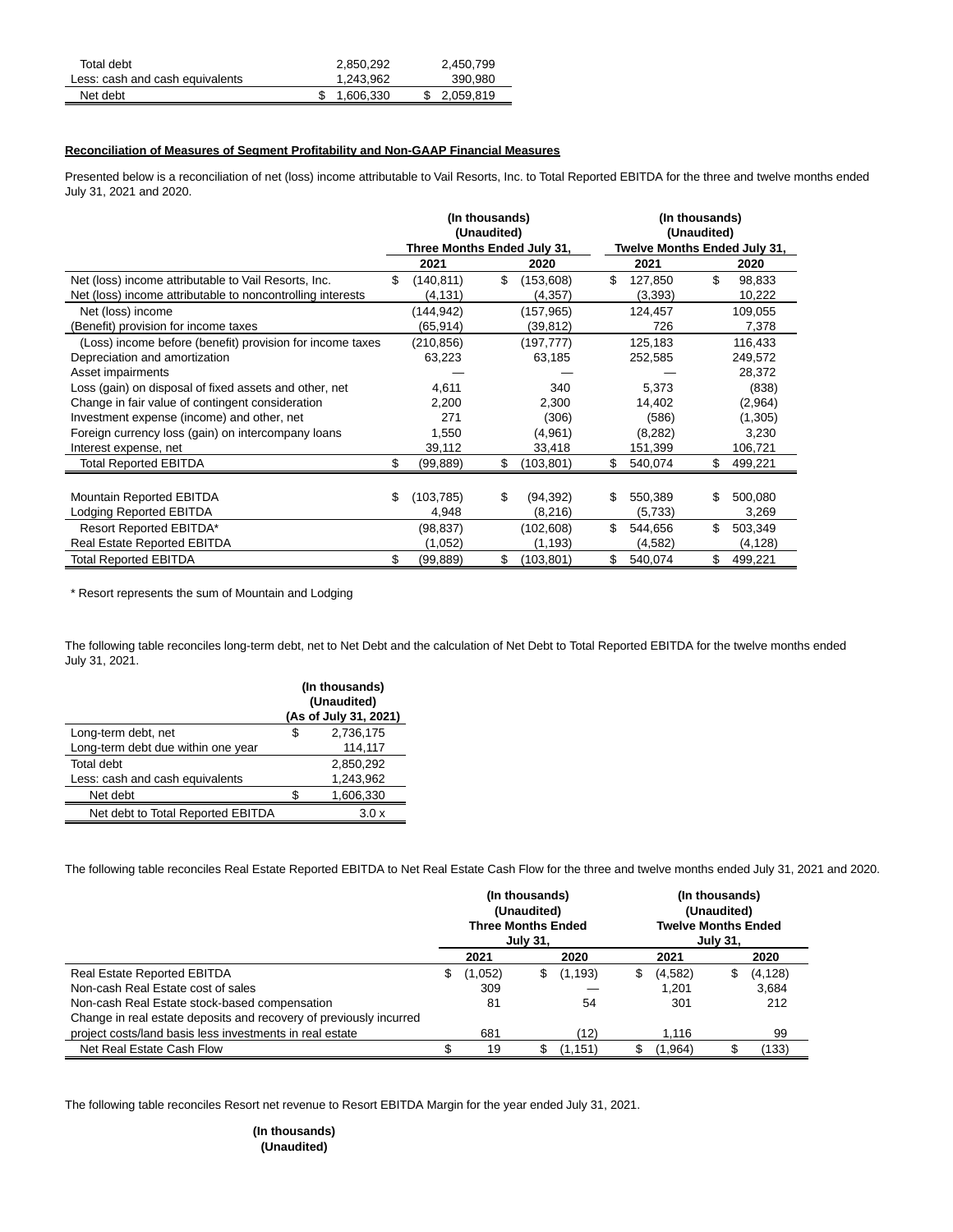| Total debt                      | 2,850,292 | 2,450,799 |
|---------------------------------|-----------|-----------|
| Less: cash and cash equivalents | 1,243,962 | 390.980   |
| Net debt                        | 1,606,330 | 2.059.819 |

#### **Reconciliation of Measures of Segment Profitability and Non-GAAP Financial Measures**

Presented below is a reconciliation of net (loss) income attributable to Vail Resorts, Inc. to Total Reported EBITDA for the three and twelve months ended July 31, 2021 and 2020.

|                                                            | (In thousands)<br>(Unaudited) |                             |    |            |    | (In thousands)<br>(Unaudited) |                              |          |  |  |
|------------------------------------------------------------|-------------------------------|-----------------------------|----|------------|----|-------------------------------|------------------------------|----------|--|--|
|                                                            |                               | Three Months Ended July 31, |    |            |    |                               | Twelve Months Ended July 31, |          |  |  |
|                                                            |                               | 2021                        |    | 2020       |    | 2021                          |                              | 2020     |  |  |
| Net (loss) income attributable to Vail Resorts, Inc.       | \$                            | (140, 811)                  | \$ | (153,608)  | \$ | 127,850                       | \$                           | 98,833   |  |  |
| Net (loss) income attributable to noncontrolling interests |                               | (4, 131)                    |    | (4, 357)   |    | (3,393)                       |                              | 10,222   |  |  |
| Net (loss) income                                          |                               | (144, 942)                  |    | (157, 965) |    | 124,457                       |                              | 109,055  |  |  |
| (Benefit) provision for income taxes                       |                               | (65,914)                    |    | (39,812)   |    | 726                           |                              | 7,378    |  |  |
| (Loss) income before (benefit) provision for income taxes  |                               | (210, 856)                  |    | (197, 777) |    | 125,183                       |                              | 116,433  |  |  |
| Depreciation and amortization                              |                               | 63,223                      |    | 63,185     |    | 252,585                       |                              | 249,572  |  |  |
| Asset impairments                                          |                               |                             |    |            |    |                               |                              | 28,372   |  |  |
| Loss (gain) on disposal of fixed assets and other, net     |                               | 4,611                       |    | 340        |    | 5,373                         |                              | (838)    |  |  |
| Change in fair value of contingent consideration           |                               | 2,200                       |    | 2,300      |    | 14,402                        |                              | (2,964)  |  |  |
| Investment expense (income) and other, net                 |                               | 271                         |    | (306)      |    | (586)                         |                              | (1,305)  |  |  |
| Foreign currency loss (gain) on intercompany loans         |                               | 1,550                       |    | (4,961)    |    | (8, 282)                      |                              | 3,230    |  |  |
| Interest expense, net                                      |                               | 39,112                      |    | 33,418     |    | 151,399                       |                              | 106,721  |  |  |
| <b>Total Reported EBITDA</b>                               |                               | (99,889)                    | \$ | (103, 801) | \$ | 540,074                       | \$                           | 499,221  |  |  |
|                                                            |                               |                             |    |            |    |                               |                              |          |  |  |
| Mountain Reported EBITDA                                   | \$                            | (103, 785)                  | \$ | (94, 392)  | \$ | 550,389                       | S                            | 500,080  |  |  |
| Lodging Reported EBITDA                                    |                               | 4,948                       |    | (8,216)    |    | (5,733)                       |                              | 3,269    |  |  |
| Resort Reported EBITDA*                                    |                               | (98, 837)                   |    | (102, 608) | \$ | 544,656                       | \$                           | 503,349  |  |  |
| Real Estate Reported EBITDA                                |                               | (1,052)                     |    | (1, 193)   |    | (4, 582)                      |                              | (4, 128) |  |  |
| <b>Total Reported EBITDA</b>                               |                               | (99, 889)                   | \$ | (103, 801) | \$ | 540,074                       | \$                           | 499,221  |  |  |

\* Resort represents the sum of Mountain and Lodging

The following table reconciles long-term debt, net to Net Debt and the calculation of Net Debt to Total Reported EBITDA for the twelve months ended July 31, 2021.

|                                    |   | (In thousands)<br>(Unaudited)<br>(As of July 31, 2021) |
|------------------------------------|---|--------------------------------------------------------|
| Long-term debt, net                | S | 2,736,175                                              |
| Long-term debt due within one year |   | 114,117                                                |
| Total debt                         |   | 2,850,292                                              |
| Less: cash and cash equivalents    |   | 1,243,962                                              |
| Net debt                           |   | 1,606,330                                              |
| Net debt to Total Reported EBITDA  |   | 3.0 x                                                  |

The following table reconciles Real Estate Reported EBITDA to Net Real Estate Cash Flow for the three and twelve months ended July 31, 2021 and 2020.

|                                                                    | (In thousands)<br>(Unaudited)<br><b>Three Months Ended</b><br><b>July 31,</b> |         |    |          |   | (In thousands)<br>(Unaudited)<br><b>Twelve Months Ended</b><br><b>July 31,</b> |    |          |  |
|--------------------------------------------------------------------|-------------------------------------------------------------------------------|---------|----|----------|---|--------------------------------------------------------------------------------|----|----------|--|
|                                                                    |                                                                               | 2021    |    | 2020     |   | 2021                                                                           |    | 2020     |  |
| <b>Real Estate Reported EBITDA</b>                                 | \$                                                                            | (1,052) | S. | (1, 193) | S | (4,582)                                                                        | \$ | (4, 128) |  |
| Non-cash Real Estate cost of sales                                 |                                                                               | 309     |    |          |   | 1.201                                                                          |    | 3,684    |  |
| Non-cash Real Estate stock-based compensation                      |                                                                               | 81      |    | 54       |   | 301                                                                            |    | 212      |  |
| Change in real estate deposits and recovery of previously incurred |                                                                               |         |    |          |   |                                                                                |    |          |  |
| project costs/land basis less investments in real estate           |                                                                               | 681     |    | (12)     |   | 1.116                                                                          |    | 99       |  |
| Net Real Estate Cash Flow                                          |                                                                               | 19      |    | (1.151)  |   | (1,964)                                                                        |    | (133)    |  |

The following table reconciles Resort net revenue to Resort EBITDA Margin for the year ended July 31, 2021.